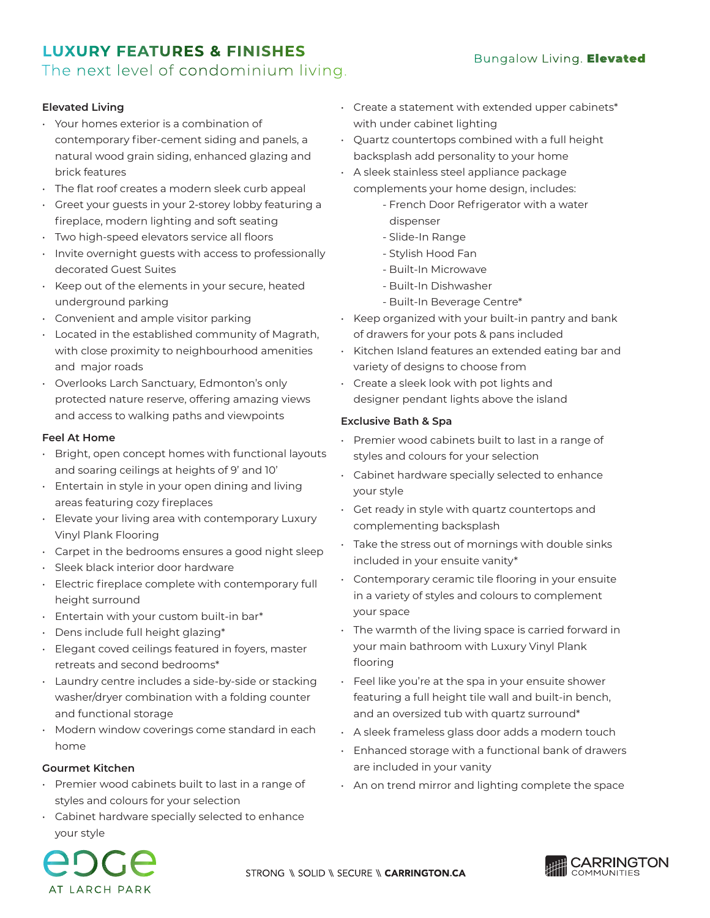# **LUXURY FEATURES & FINISHES**

# The next level of condominium living.

## **Elevated Living**

- Your homes exterior is a combination of contemporary fiber-cement siding and panels, a natural wood grain siding, enhanced glazing and brick features
- The flat roof creates a modern sleek curb appeal
- Greet your guests in your 2-storey lobby featuring a fireplace, modern lighting and soft seating
- Two high-speed elevators service all floors
- Invite overnight guests with access to professionally decorated Guest Suites
- Keep out of the elements in your secure, heated underground parking
- Convenient and ample visitor parking
- Located in the established community of Magrath, with close proximity to neighbourhood amenities and major roads
- Overlooks Larch Sanctuary, Edmonton's only protected nature reserve, offering amazing views and access to walking paths and viewpoints

### **Feel At Home**

- Bright, open concept homes with functional layouts and soaring ceilings at heights of 9' and 10'
- Entertain in style in your open dining and living areas featuring cozy fireplaces
- Elevate your living area with contemporary Luxury Vinyl Plank Flooring
- Carpet in the bedrooms ensures a good night sleep
- Sleek black interior door hardware
- Electric fireplace complete with contemporary full height surround
- Entertain with your custom built-in bar\*
- Dens include full height glazing\*
- Elegant coved ceilings featured in foyers, master retreats and second bedrooms\*
- Laundry centre includes a side-by-side or stacking washer/dryer combination with a folding counter and functional storage
- Modern window coverings come standard in each home

#### **Gourmet Kitchen**

- Premier wood cabinets built to last in a range of styles and colours for your selection
- Cabinet hardware specially selected to enhance your style
- Create a statement with extended upper cabinets\* with under cabinet lighting
- Quartz countertops combined with a full height backsplash add personality to your home
- A sleek stainless steel appliance package
	- complements your home design, includes:
		- French Door Refrigerator with a water dispenser
		- Slide-In Range
		- Stylish Hood Fan
		- Built-In Microwave
		- Built-In Dishwasher
		- Built-In Beverage Centre\*
- Keep organized with your built-in pantry and bank of drawers for your pots & pans included
- Kitchen Island features an extended eating bar and variety of designs to choose from
- Create a sleek look with pot lights and designer pendant lights above the island

### **Exclusive Bath & Spa**

- Premier wood cabinets built to last in a range of styles and colours for your selection
- Cabinet hardware specially selected to enhance your style
- Get ready in style with quartz countertops and complementing backsplash
- Take the stress out of mornings with double sinks included in your ensuite vanity\*
- Contemporary ceramic tile flooring in your ensuite in a variety of styles and colours to complement your space
- The warmth of the living space is carried forward in your main bathroom with Luxury Vinyl Plank flooring
- Feel like you're at the spa in your ensuite shower featuring a full height tile wall and built-in bench, and an oversized tub with quartz surround\*
- A sleek frameless glass door adds a modern touch
- Enhanced storage with a functional bank of drawers are included in your vanity
- An on trend mirror and lighting complete the space